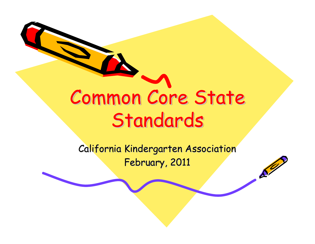# Common Core State Common Core State Standards Standards

California Kindergarten Association February, 2011

 $\mathcal{S}^{\prime\prime}$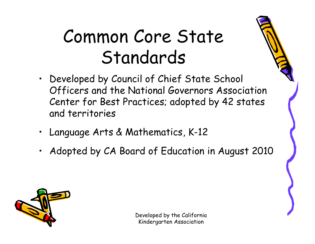#### Common Core State Standards

- Developed by Council of Chief State School Officers and the National Governors Association Center for Best Practices; adopted by 42 states and territories
- Language Arts & Mathematics, K-12
- Adopted by CA Board of Education in August 2010

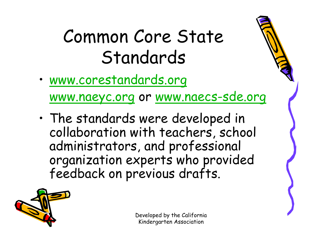#### Common Core State Standards

•[www.corestandards.org](http://www.corestandards.org/)

[www.naeyc.org](http://www.naeyc.org/) or [www.naecs-sde.org](http://www.naecs-sde.org)

• The standards were developed in collaboration with teachers, school administrators, and professional organization experts who provided feedback on previous drafts.

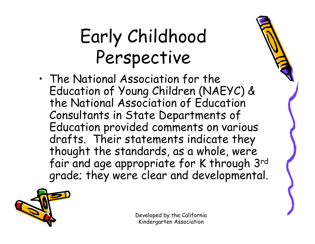## Early Childhood Perspective

• The National Association for the Education of Young Children (NAEYC) & the National Association of Education Consultants in State Departments of Education provided comments on various drafts. Their statements indicate they thought the standards, as a whole, were fair and age appropriate for K through 3rd grade; they were clear and developmental.

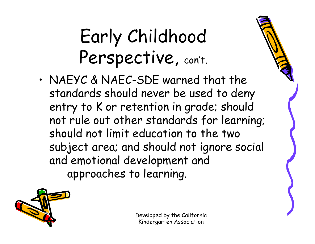## Early Childhood Perspective, con't.

• NAEYC & NAEC-SDE warned that the standards should never be used to deny entry to K or retention in grade; should not rule out other standards for learning; should not limit education to the two subject area; and should not ignore social and emotional development and approaches to learning.

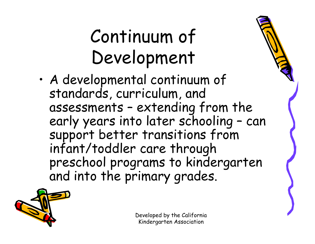## Continuum of Development

• A developmental continuum of standards, curriculum, and assessments – extending from the early years into later schooling – can support better transitions from infant/toddler care through preschool programs to kindergarten and into the primary grades.

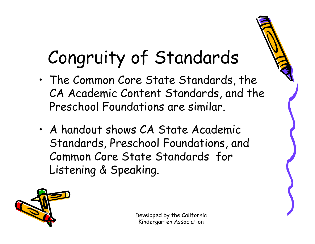## Congruity of Standards

- • The Common Core State Standards, the CA Academic Content Standards, and the Preschool Foundations are similar.
- • A handout shows CA State Academic Standards, Preschool Foundations, and Common Core State Standards for Listening & Speaking.



Developed by the California Kindergarten Association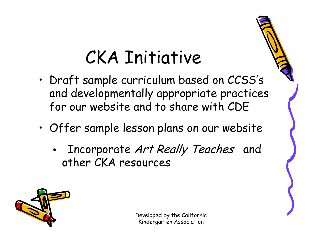#### CKA Initiative

- • Draft sample curriculum based on CCSS's and developmentally appropriate practices for our website and to share with CDE
- • Offer sample lesson plans on our website
	- Incorporate Art Really Teaches and other CKA resources



Developed by the California Kindergarten Association